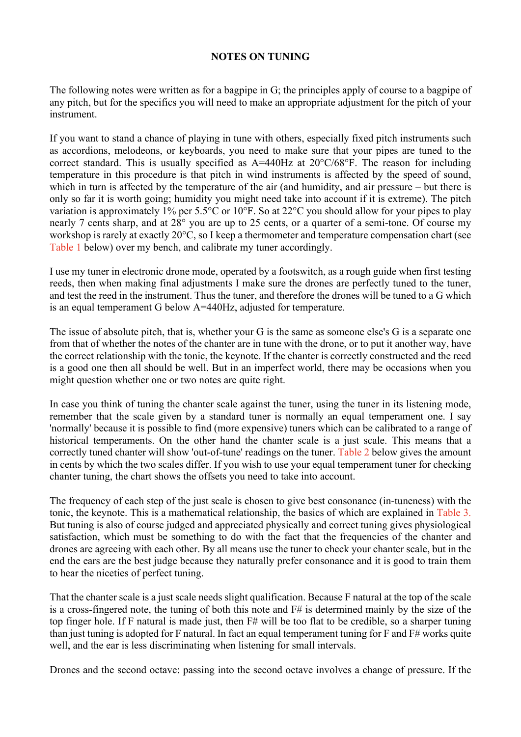## **NOTES ON TUNING**

The following notes were written as for a bagpipe in G; the principles apply of course to a bagpipe of any pitch, but for the specifics you will need to make an appropriate adjustment for the pitch of your instrument.

If you want to stand a chance of playing in tune with others, especially fixed pitch instruments such as accordions, melodeons, or keyboards, you need to make sure that your pipes are tuned to the correct standard. This is usually specified as  $A=440\text{Hz}$  at  $20^{\circ}\text{C}/68^{\circ}\text{F}$ . The reason for including temperature in this procedure is that pitch in wind instruments is affected by the speed of sound, which in turn is affected by the temperature of the air (and humidity, and air pressure – but there is only so far it is worth going; humidity you might need take into account if it is extreme). The pitch variation is approximately 1% per 5.5°C or 10°F. So at 22°C you should allow for your pipes to play nearly 7 cents sharp, and at 28° you are up to 25 cents, or a quarter of a semi-tone. Of course my workshop is rarely at exactly 20°C, so I keep a thermometer and temperature compensation chart (see [Table 1](#page-1-0) below) over my bench, and calibrate my tuner accordingly.

I use my tuner in electronic drone mode, operated by a footswitch, as a rough guide when first testing reeds, then when making final adjustments I make sure the drones are perfectly tuned to the tuner, and test the reed in the instrument. Thus the tuner, and therefore the drones will be tuned to a G which is an equal temperament G below A=440Hz, adjusted for temperature.

The issue of absolute pitch, that is, whether your G is the same as someone else's G is a separate one from that of whether the notes of the chanter are in tune with the drone, or to put it another way, have the correct relationship with the tonic, the keynote. If the chanter is correctly constructed and the reed is a good one then all should be well. But in an imperfect world, there may be occasions when you might question whether one or two notes are quite right.

In case you think of tuning the chanter scale against the tuner, using the tuner in its listening mode, remember that the scale given by a standard tuner is normally an equal temperament one. I say 'normally' because it is possible to find (more expensive) tuners which can be calibrated to a range of historical temperaments. On the other hand the chanter scale is a just scale. This means that a correctly tuned chanter will show 'out-of-tune' readings on the tuner. [Table 2](#page-2-0) below gives the amount in cents by which the two scales differ. If you wish to use your equal temperament tuner for checking chanter tuning, the chart shows the offsets you need to take into account.

The frequency of each step of the just scale is chosen to give best consonance (in-tuneness) with the tonic, the keynote. This is a mathematical relationship, the basics of which are explained in [Table 3.](#page-2-1) But tuning is also of course judged and appreciated physically and correct tuning gives physiological satisfaction, which must be something to do with the fact that the frequencies of the chanter and drones are agreeing with each other. By all means use the tuner to check your chanter scale, but in the end the ears are the best judge because they naturally prefer consonance and it is good to train them to hear the niceties of perfect tuning.

That the chanter scale is a just scale needs slight qualification. Because F natural at the top of the scale is a cross-fingered note, the tuning of both this note and F# is determined mainly by the size of the top finger hole. If F natural is made just, then F# will be too flat to be credible, so a sharper tuning than just tuning is adopted for F natural. In fact an equal temperament tuning for F and F# works quite well, and the ear is less discriminating when listening for small intervals.

Drones and the second octave: passing into the second octave involves a change of pressure. If the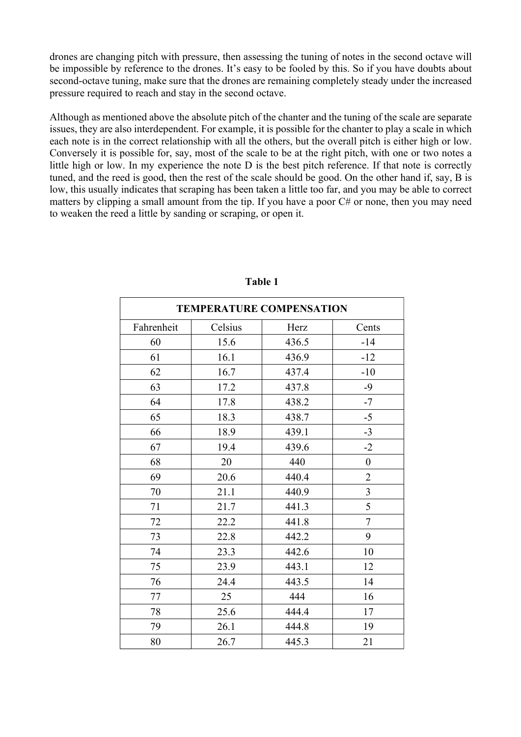drones are changing pitch with pressure, then assessing the tuning of notes in the second octave will be impossible by reference to the drones. It's easy to be fooled by this. So if you have doubts about second-octave tuning, make sure that the drones are remaining completely steady under the increased pressure required to reach and stay in the second octave.

Although as mentioned above the absolute pitch of the chanter and the tuning of the scale are separate issues, they are also interdependent. For example, it is possible for the chanter to play a scale in which each note is in the correct relationship with all the others, but the overall pitch is either high or low. Conversely it is possible for, say, most of the scale to be at the right pitch, with one or two notes a little high or low. In my experience the note D is the best pitch reference. If that note is correctly tuned, and the reed is good, then the rest of the scale should be good. On the other hand if, say, B is low, this usually indicates that scraping has been taken a little too far, and you may be able to correct matters by clipping a small amount from the tip. If you have a poor C# or none, then you may need to weaken the reed a little by sanding or scraping, or open it.

| <b>TEMPERATURE COMPENSATION</b> |         |       |                  |  |  |  |
|---------------------------------|---------|-------|------------------|--|--|--|
| Fahrenheit                      | Celsius | Herz  | Cents            |  |  |  |
| 60                              | 15.6    | 436.5 | $-14$            |  |  |  |
| 61                              | 16.1    | 436.9 | $-12$            |  |  |  |
| 62                              | 16.7    | 437.4 | $-10$            |  |  |  |
| 63                              | 17.2    | 437.8 | $-9$             |  |  |  |
| 64                              | 17.8    | 438.2 | $-7$             |  |  |  |
| 65                              | 18.3    | 438.7 | $-5$             |  |  |  |
| 66                              | 18.9    | 439.1 | $-3$             |  |  |  |
| 67                              | 19.4    | 439.6 | $-2$             |  |  |  |
| 68                              | 20      | 440   | $\boldsymbol{0}$ |  |  |  |
| 69                              | 20.6    | 440.4 | $\overline{2}$   |  |  |  |
| 70                              | 21.1    | 440.9 | 3                |  |  |  |
| 71                              | 21.7    | 441.3 | 5                |  |  |  |
| 72                              | 22.2    | 441.8 | $\overline{7}$   |  |  |  |
| 73                              | 22.8    | 442.2 | 9                |  |  |  |
| 74                              | 23.3    | 442.6 | 10               |  |  |  |
| 75                              | 23.9    | 443.1 | 12               |  |  |  |
| 76                              | 24.4    | 443.5 | 14               |  |  |  |
| 77                              | 25      | 444   | 16               |  |  |  |
| 78                              | 25.6    | 444.4 | 17               |  |  |  |
| 79                              | 26.1    | 444.8 | 19               |  |  |  |
| 80                              | 26.7    | 445.3 | 21               |  |  |  |

<span id="page-1-0"></span>**Table 1**